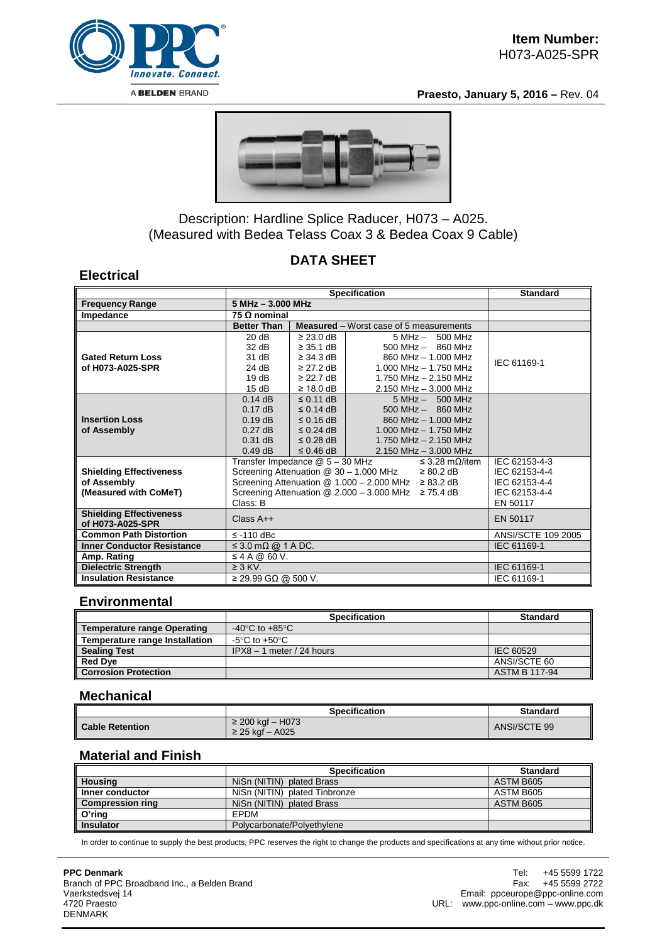

**Praesto, January 5, 2016 –** Rev. 04



# Description: Hardline Splice Raducer, H073 – A025. (Measured with Bedea Telass Coax 3 & Bedea Coax 9 Cable)

# **DATA SHEET**

### **Electrical**

|                                                                        | <b>Specification</b>                                                                                                                                                                                                                                                              |                                                                                                          |                                                                                                                                                        | <b>Standard</b>                                                              |
|------------------------------------------------------------------------|-----------------------------------------------------------------------------------------------------------------------------------------------------------------------------------------------------------------------------------------------------------------------------------|----------------------------------------------------------------------------------------------------------|--------------------------------------------------------------------------------------------------------------------------------------------------------|------------------------------------------------------------------------------|
| <b>Frequency Range</b>                                                 | $5 MHz - 3.000 MHz$                                                                                                                                                                                                                                                               |                                                                                                          |                                                                                                                                                        |                                                                              |
| Impedance                                                              | 75 Ω nominal                                                                                                                                                                                                                                                                      |                                                                                                          |                                                                                                                                                        |                                                                              |
|                                                                        | <b>Better Than</b>                                                                                                                                                                                                                                                                |                                                                                                          | <b>Measured</b> – Worst case of 5 measurements                                                                                                         |                                                                              |
| <b>Gated Return Loss</b><br>of H073-A025-SPR                           | 20 dB<br>32 dB<br>31 dB<br>24 dB<br>19dB<br>15dB                                                                                                                                                                                                                                  | $\geq$ 23.0 dB<br>$\geq$ 35.1 dB<br>$\geq$ 34.3 dB<br>$\geq$ 27.2 dB<br>$\geq$ 22.7 dB<br>$\geq 18.0$ dB | $5 MHz - 500 MHz$<br>$500$ MHz $-$ 860 MHz<br>860 MHz - 1.000 MHz<br>$1.000$ MHz $- 1.750$ MHz<br>1.750 MHz $-$ 2.150 MHz<br>$2.150$ MHz $- 3.000$ MHz | IEC 61169-1                                                                  |
| <b>Insertion Loss</b><br>of Assembly                                   | $0.14$ dB<br>$0.17$ dB<br>$0.19$ dB<br>$0.27$ dB<br>$0.31$ dB<br>$0.49$ dB                                                                                                                                                                                                        | $\leq$ 0.11 dB<br>$\leq$ 0.14 dB<br>$\leq$ 0.16 dB<br>$\leq$ 0.24 dB<br>$\leq$ 0.28 dB<br>$\leq$ 0.46 dB | $5 MHz - 500 MHz$<br>$500$ MHz $-$ 860 MHz<br>860 MHz - 1.000 MHz<br>$1.000$ MHz $- 1.750$ MHz<br>1.750 MHz $-$ 2.150 MHz<br>$2.150$ MHz $-$ 3.000 MHz |                                                                              |
| <b>Shielding Effectiveness</b><br>of Assembly<br>(Measured with CoMeT) | Transfer Impedance @ 5 - 30 MHz<br>≤ 3.28 mΩ/item<br>Screening Attenuation @ 30 - 1.000 MHz<br>$\geq 80.2$ dB<br>Screening Attenuation $@ 1.000 - 2.000 \text{ MHz} \geq 83.2 \text{ dB}$<br>Screening Attenuation $\textcircled{2}$ 2.000 - 3.000 MHz $\geq$ 75.4 dB<br>Class: B |                                                                                                          |                                                                                                                                                        | IEC 62153-4-3<br>IEC 62153-4-4<br>IEC 62153-4-4<br>IEC 62153-4-4<br>EN 50117 |
| <b>Shielding Effectiveness</b><br>of H073-A025-SPR                     | $Class A++$                                                                                                                                                                                                                                                                       |                                                                                                          |                                                                                                                                                        | EN 50117                                                                     |
| <b>Common Path Distortion</b>                                          | $\le$ -110 dBc                                                                                                                                                                                                                                                                    |                                                                                                          |                                                                                                                                                        |                                                                              |
| <b>Inner Conductor Resistance</b>                                      | $\leq$ 3.0 m $\Omega$ @ 1 A DC.                                                                                                                                                                                                                                                   |                                                                                                          |                                                                                                                                                        | IEC 61169-1                                                                  |
| Amp. Rating                                                            | $\leq$ 4 A @ 60 V.                                                                                                                                                                                                                                                                |                                                                                                          |                                                                                                                                                        |                                                                              |
| <b>Dielectric Strength</b>                                             | $\geq$ 3 KV.                                                                                                                                                                                                                                                                      |                                                                                                          |                                                                                                                                                        | IEC 61169-1                                                                  |
| <b>Insulation Resistance</b>                                           | $\geq$ 29.99 GQ @ 500 V.                                                                                                                                                                                                                                                          |                                                                                                          |                                                                                                                                                        | IEC 61169-1                                                                  |

### **Environmental**

|                                | <b>Specification</b>                 | <b>Standard</b>      |
|--------------------------------|--------------------------------------|----------------------|
| Temperature range Operating    | -40 $^{\circ}$ C to +85 $^{\circ}$ C |                      |
| Temperature range Installation | $-5^{\circ}$ C to $+50^{\circ}$ C    |                      |
| <b>Sealing Test</b>            | $IPX8 - 1$ meter / 24 hours          | IEC 60529            |
| <b>Red Dye</b>                 |                                      | ANSI/SCTE 60         |
| <b>Corrosion Protection</b>    |                                      | <b>ASTM B 117-94</b> |

#### **Mechanical**

|                        | <b>Specification</b>                | <b>Standard</b> |
|------------------------|-------------------------------------|-----------------|
| <b>Cable Retention</b> | ≥ 200 kgf – H073<br>≥ 25 kgf – A025 | ANSI/SCTE 99    |

### **Material and Finish**

|                         | <b>Specification</b>          | <b>Standard</b> |
|-------------------------|-------------------------------|-----------------|
| Housing                 | NiSn (NITIN) plated Brass     | ASTM B605       |
| Inner conductor         | NiSn (NITIN) plated Tinbronze | ASTM B605       |
| <b>Compression ring</b> | NiSn (NITIN) plated Brass     | ASTM B605       |
| O'ring                  | EPDM                          |                 |
| <b>Insulator</b>        | Polycarbonate/Polyethylene    |                 |

In order to continue to supply the best products, PPC reserves the right to change the products and specifications at any time without prior notice.

#### **PPC Denmark**

Branch of PPC Broadband Inc., a Belden Brand Vaerkstedsvej 14 4720 Praesto DENMARK